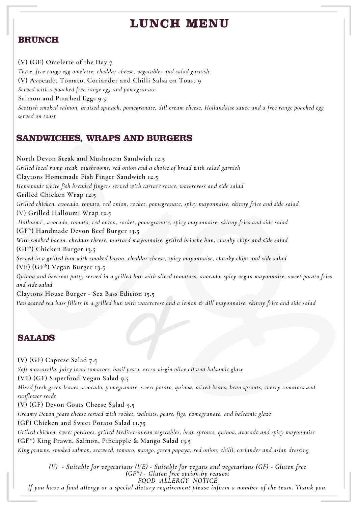# $L$ **UNCH MENU**

### **BRUNCH**

**(V) (GF) Omelette of the Day 7** *Three, free range egg omelette, cheddar cheese, vegetables and salad garnish* **(V) Avocado, Tomato, Coriander and Chilli Salsa on Toast 9** *Served with a poached free range egg and pomegranate* **Salmon and Poached Eggs 9.5** Scottish smoked salmon, braised spinach, pomegranate, dill cream cheese, Hollandaise sauce and a free range poached egg *served on toast*

## **SANDWICHES, WRAPS AND BURGERS**

**North Devon Steak and Mushroom Sandwich 12.5** *Grilled local rump steak, mushrooms, red onion and a choice of bread with salad garnish* **Claytons Homemade Fish Finger Sandwich 12.5** *Homemade white fish breaded fingers served with tartare sauce, watercress and side salad* **Grilled Chicken Wrap 12.5** *Grilled chicken, avocado, tomato, red onion, rocket, pomegranate, spicy mayonnaise, skinny fries and side salad* (V) **Grilled Halloumi Wrap 12.5** *Halloumi , avocado, tomato, red onion, rocket, pomegranate, spicy mayonnaise, skinny fries and side salad* **(GF\*) Handmade Devon Beef Burger 13.5** *With smoked bacon, cheddar cheese, mustard mayonnaise, grilled brioche bun, chunky chips and side salad* **(GF\*) Chicken Burger 13.5** *Served in a grilled bun with smoked bacon, cheddar cheese, spicy mayonnaise, chunky chips and side salad* **(VE) (GF\*) Vegan Burger 13.5** Quinoa and beetroot patty served in a grilled bun with sliced tomatoes, avocado, spicy vegan mayonnaise, sweet potato fries *and side salad* **Claytons House Burger - Sea Bass Edition 15.5** Pan seared sea bass fillets in a grilled bun with watercress and a lemon & dill mayonnaise, skinny fries and side salad

#### **SALADS**

**(V) (GF) Caprese Salad 7.5**

*Soft mozzarella, juicy local tomatoes, basil pesto, extra virgin olive oil and balsamic glaze*

**(VE) (GF) Superfood Vegan Salad 9.5**

Mixed fresh green leaves, avocado, pomegranate, sweet potato, quinoa, mixed beans, bean sprouts, cherry tomatoes and *sunflower seeds*

**(V) (GF) Devon Goats Cheese Salad 9.5**

*Creamy Devon goats cheese served with rocket, walnuts, pears, figs, pomegranate, and balsamic glaze*

**(GF) Chicken and Sweet Potato Salad 11.75**

*Grilled chicken, sweet potatoes, grilled Mediterranean vegetables, bean sprouts, quinoa, avocado and spicy mayonnaise* **(GF\*) King Prawn, Salmon, Pineapple & Mango Salad 13.5**

King prawns, smoked salmon, seaweed, tomato, mango, green papaya, red onion, chilli, coriander and asian dressing

*(V) - Suitable for vegetarians (VE) - Suitable for vegans and vegetarians (GF) - Gluten free (GF\*) - Gluten free option by request FOOD ALLERGY NOTICE*

If you have a food allergy or a special dietary requirement please inform a member of the team. Thank you.